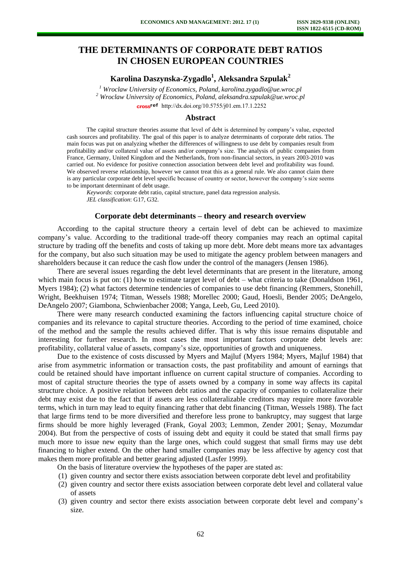# **THE DETERMINANTS OF CORPORATE DEBT RATIOS IN CHOSEN EUROPEAN COUNTRIES**

**Karolina Daszynska-Zygadlo<sup>1</sup> , Aleksandra Szpulak<sup>2</sup>**

<sup>1</sup> Wroclaw University of Economics, Poland, karolina.zygadlo@ue.wroc.pl <sup>2</sup> Wroclaw University of Economics, Poland, aleksandra.szpulak@ue.wroc.pl cross<sup>ref</sup> [http://dx.doi.org/10.5755/j01.e](http://dx.doi.org/10.5755/j01.em.17.1.2252)m.17.1.2252

# **Abstract**

The capital structure theories assume that level of debt is determined by company's value, expected cash sources and profitability. The goal of this paper is to analyze determinants of corporate debt ratios. The main focus was put on analyzing whether the differences of willingness to use debt by companies result from profitability and/or collateral value of assets and/or company's size. The analysis of public companies from France, Germany, United Kingdom and the Netherlands, from non-financial sectors, in years 2003-2010 was carried out. No evidence for positive connection association between debt level and profitability was found. We observed reverse relationship, however we cannot treat this as a general rule. We also cannot claim there is any particular corporate debt level specific because of country or sector, however the company's size seems to be important determinant of debt usage.

*Keywords*: corporate debt ratio, capital structure, panel data regression analysis. *JEL classification*: G17, G32.

## **Corporate debt determinants – theory and research overview**

According to the capital structure theory a certain level of debt can be achieved to maximize company's value. According to the traditional trade-off theory companies may reach an optimal capital structure by trading off the benefits and costs of taking up more debt. More debt means more tax advantages for the company, but also such situation may be used to mitigate the agency problem between managers and shareholders because it can reduce the cash flow under the control of the managers (Jensen 1986).

There are several issues regarding the debt level determinants that are present in the literature, among which main focus is put on: (1) how to estimate target level of debt – what criteria to take (Donaldson 1961, Myers 1984); (2) what factors determine tendencies of companies to use debt financing (Remmers, Stonehill, Wright, Beekhuisen 1974; Titman, Wessels 1988; Morellec 2000; Gaud, Hoesli, Bender 2005; DeAngelo, DeAngelo 2007; Giambona, Schwienbacher 2008; Yanga, Leeb, Gu, Leed 2010).

There were many research conducted examining the factors influencing capital structure choice of companies and its relevance to capital structure theories. According to the period of time examined, choice of the method and the sample the results achieved differ. That is why this issue remains disputable and interesting for further research. In most cases the most important factors corporate debt levels are: profitability, collateral value of assets, company's size, opportunities of growth and uniqueness.

Due to the existence of costs discussed by Myers and Majluf (Myers 1984; Myers, Majluf 1984) that arise from asymmetric information or transaction costs, the past profitability and amount of earnings that could be retained should have important influence on current capital structure of companies. According to most of capital structure theories the type of assets owned by a company in some way affects its capital structure choice. A positive relation between debt ratios and the capacity of companies to collateralize their debt may exist due to the fact that if assets are less collateralizable creditors may require more favorable terms, which in turn may lead to equity financing rather that debt financing (Titman, Wessels 1988). The fact that large firms tend to be more diversified and therefore less prone to bankruptcy, may suggest that large firms should be more highly leveraged (Frank, Goyal 2003; Lemmon, Zender 2001; Şenay, Mozumdar 2004). But from the perspective of costs of issuing debt and equity it could be stated that small firms pay much more to issue new equity than the large ones, which could suggest that small firms may use debt financing to higher extend. On the other hand smaller companies may be less affective by agency cost that makes them more profitable and better gearing adjusted (Lasfer 1999).

On the basis of literature overview the hypotheses of the paper are stated as:

- (1) given country and sector there exists association between corporate debt level and profitability
- (2) given country and sector there exists association between corporate debt level and collateral value of assets
- (3) given country and sector there exists association between corporate debt level and company's size.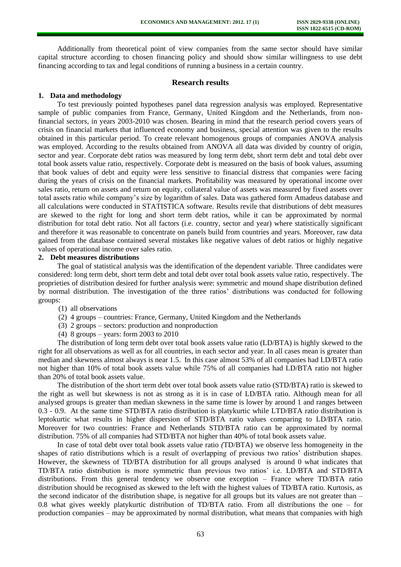Additionally from theoretical point of view companies from the same sector should have similar capital structure according to chosen financing policy and should show similar willingness to use debt financing according to tax and legal conditions of running a business in a certain country.

#### **Research results**

#### **1. Data and methodology**

To test previously pointed hypotheses panel data regression analysis was employed. Representative sample of public companies from France, Germany, United Kingdom and the Netherlands, from nonfinancial sectors, in years 2003-2010 was chosen. Bearing in mind that the research period covers years of crisis on financial markets that influenced economy and business, special attention was given to the results obtained in this particular period. To create relevant homogenous groups of companies ANOVA analysis was employed. According to the results obtained from ANOVA all data was divided by country of origin, sector and year. Corporate debt ratios was measured by long term debt, short term debt and total debt over total book assets value ratio, respectively. Corporate debt is measured on the basis of book values, assuming that book values of debt and equity were less sensitive to financial distress that companies were facing during the years of crisis on the financial markets. Profitability was measured by operational income over sales ratio, return on assets and return on equity, collateral value of assets was measured by fixed assets over total assets ratio while company's size by logarithm of sales. Data was gathered form Amadeus database and all calculations were conducted in STATISTICA software. Results revile that distributions of debt measures are skewed to the right for long and short term debt ratios, while it can be approximated by normal distribution for total debt ratio. Not all factors (i.e. country, sector and year) where statistically significant and therefore it was reasonable to concentrate on panels build from countries and years. Moreover, raw data gained from the database contained several mistakes like negative values of debt ratios or highly negative values of operational income over sales ratio.

# **2. Debt measures distributions**

The goal of statistical analysis was the identification of the dependent variable. Three candidates were considered: long term debt, short term debt and total debt over total book assets value ratio, respectively. The proprieties of distribution desired for further analysis were: symmetric and mound shape distribution defined by normal distribution. The investigation of the three ratios' distributions was conducted for following groups:

- (1) all observations
- (2) 4 groups countries: France, Germany, United Kingdom and the Netherlands
- (3) 2 groups sectors: production and nonproduction
- (4) 8 groups years: form 2003 to 2010

The distribution of long term debt over total book assets value ratio (LD/BTA) is highly skewed to the right for all observations as well as for all countries, in each sector and year. In all cases mean is greater than median and skewness almost always is near 1.5. In this case almost 53% of all companies had LD/BTA ratio not higher than 10% of total book assets value while 75% of all companies had LD/BTA ratio not higher than 20% of total book assets value.

The distribution of the short term debt over total book assets value ratio (STD/BTA) ratio is skewed to the right as well but skewness is not as strong as it is in case of LD/BTA ratio. Although mean for all analysed groups is greater than median skewness in the same time is lower by around 1 and ranges between 0.3 - 0.9. At the same time STD/BTA ratio distribution is platykurtic while LTD/BTA ratio distribution is leptokurtic what results in higher dispersion of STD/BTA ratio values comparing to LD/BTA ratio. Moreover for two countries: France and Netherlands STD/BTA ratio can be approximated by normal distribution. 75% of all companies had STD/BTA not higher than 40% of total book assets value.

In case of total debt over total book assets value ratio *(*TD/BTA) we observe less homogeneity in the shapes of ratio distributions which is a result of overlapping of previous two ratios' distribution shapes. However, the skewness of TD/BTA distribution for all groups analysed is around 0 what indicates that TD/BTA ratio distribution is more symmetric than previous two ratios' i.e. LD/BTA and STD/BTA distributions. From this general tendency we observe one exception – France where TD/BTA ratio distribution should be recognised as skewed to the left with the highest values of TD/BTA ratio. Kurtosis, as the second indicator of the distribution shape, is negative for all groups but its values are not greater than – 0.8 what gives weekly platykurtic distribution of TD/BTA ratio. From all distributions the one – for production companies – may be approximated by normal distribution, what means that companies with high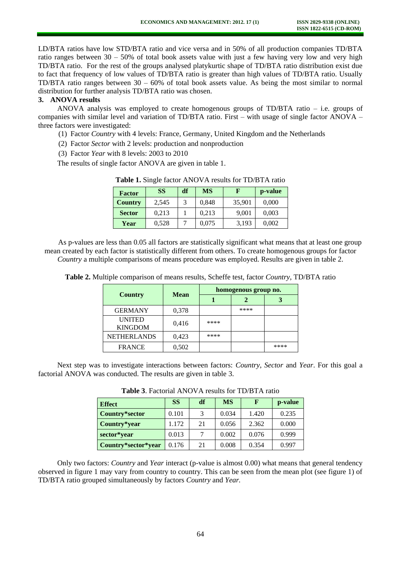LD/BTA ratios have low STD/BTA ratio and vice versa and in 50% of all production companies TD/BTA ratio ranges between  $30 - 50\%$  of total book assets value with just a few having very low and very high TD/BTA ratio. For the rest of the groups analysed platykurtic shape of TD/BTA ratio distribution exist due to fact that frequency of low values of TD/BTA ratio is greater than high values of TD/BTA ratio. Usually TD/BTA ratio ranges between 30 – 60% of total book assets value. As being the most similar to normal distribution for further analysis TD/BTA ratio was chosen.

# **3. ANOVA results**

ANOVA analysis was employed to create homogenous groups of TD/BTA ratio – i.e. groups of companies with similar level and variation of TD/BTA ratio. First – with usage of single factor ANOVA – three factors were investigated:

- (1) Factor *Country* with 4 levels: France, Germany, United Kingdom and the Netherlands
- (2) Factor *Sector* with 2 levels: production and nonproduction
- (3) Factor *Year* with 8 levels: 2003 to 2010

The results of single factor ANOVA are given in table 1.

| <b>Factor</b>  | <b>SS</b> | df | <b>MS</b> | F      | p-value |
|----------------|-----------|----|-----------|--------|---------|
| <b>Country</b> | 2,545     | 3  | 0,848     | 35,901 | 0.000   |
| <b>Sector</b>  | 0.213     |    | 0,213     | 9,001  | 0,003   |
| Year           | 0,528     |    | 0,075     | 3,193  | 0,002   |

**Table 1.** Single factor ANOVA results for TD/BTA ratio

As p-values are less than 0.05 all factors are statistically significant what means that at least one group mean created by each factor is statistically different from others. To create homogenous groups for factor *Country* a multiple comparisons of means procedure was employed. Results are given in table 2.

|                                 | <b>Mean</b> | homogenous group no. |      |      |  |
|---------------------------------|-------------|----------------------|------|------|--|
| <b>Country</b>                  |             |                      |      |      |  |
| <b>GERMANY</b>                  | 0.378       |                      | **** |      |  |
| <b>UNITED</b><br><b>KINGDOM</b> | 0.416       | ****                 |      |      |  |
| <b>NETHERLANDS</b>              | 0,423       | ****                 |      |      |  |
| <b>FRANCE</b>                   | 0.502       |                      |      | **** |  |

**Table 2.** Multiple comparison of means results, Scheffe test, factor *Country*, TD/BTA ratio

Next step was to investigate interactions between factors: *Country*, *Sector* and *Year*. For this goal a factorial ANOVA was conducted. The results are given in table 3.

**Table 3**. Factorial ANOVA results for TD/BTA ratio

| <b>Effect</b>       | <b>SS</b> | df | <b>MS</b> | F     | p-value |
|---------------------|-----------|----|-----------|-------|---------|
| Country*sector      | 0.101     | 3  | 0.034     | 1.420 | 0.235   |
| Country*year        | 1.172     | 21 | 0.056     | 2.362 | 0.000   |
| sector*year         | 0.013     |    | 0.002     | 0.076 | 0.999   |
| Country*sector*year | 0.176     | 21 | 0.008     | 0.354 | 0.997   |

Only two factors: *Country* and *Year* interact (p-value is almost 0.00) what means that general tendency observed in figure 1 may vary from country to country. This can be seen from the mean plot (see figure 1) of TD/BTA ratio grouped simultaneously by factors *Country* and *Year.*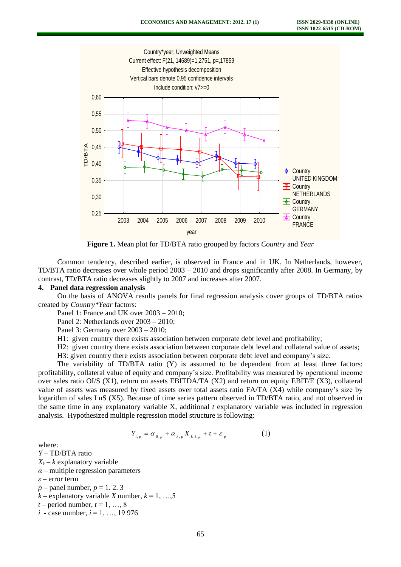

**Figure 1.** Mean plot for TD/BTA ratio grouped by factors *Country* and *Year* 

Common tendency, described earlier, is observed in France and in UK. In Netherlands, however, TD/BTA ratio decreases over whole period 2003 – 2010 and drops significantly after 2008. In Germany, by contrast, TD/BTA ratio decreases slightly to 2007 and increases after 2007.

#### **4. Panel data regression analysis**

On the basis of ANOVA results panels for final regression analysis cover groups of TD/BTA ratios created by *Country\*Year* factors:

Panel 1: France and UK over 2003 – 2010;

Panel 2: Netherlands over 2003 – 2010;

Panel 3: Germany over 2003 – 2010;

H1: given country there exists association between corporate debt level and profitability;

H2: given country there exists association between corporate debt level and collateral value of assets;

H3: given country there exists association between corporate debt level and company's size.

The variability of TD/BTA ratio (Y) is assumed to be dependent from at least three factors: profitability, collateral value of equity and company's size. Profitability was measured by operational income over sales ratio OI/S (X1), return on assets EBITDA/TA (X2) and return on equity EBIT/E (X3), collateral value of assets was measured by fixed assets over total assets ratio FA/TA (X4) while company's size by logarithm of sales LnS (X5). Because of time series pattern observed in TD/BTA ratio, and not observed in the same time in any explanatory variable X, additional *t* explanatory variable was included in regression analysis. Hypothesized multiple regression model structure is following:

$$
Y_{i,p} = \alpha_{0,p} + \alpha_{k,p} X_{k,i,p} + t + \varepsilon_p \tag{1}
$$

where:

*Y* – TD/BTA ratio  $X_k - k$  explanatory variable  $\alpha$  – multiple regression parameters *ε* – error term  $p$  – panel number,  $p = 1, 2, 3$ 

 $k$  – explanatory variable *X* number,  $k = 1, ..., 5$ 

 $t$  – period number,  $t$  = 1, …, 8

*i* - case number, *i* = 1, …, 19 976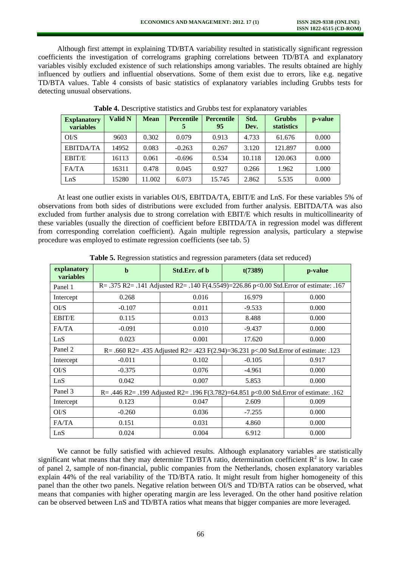Although first attempt in explaining TD/BTA variability resulted in statistically significant regression coefficients the investigation of correlograms graphing correlations between TD/BTA and explanatory variables visibly excluded existence of such relationships among variables. The results obtained are highly influenced by outliers and influential observations. Some of them exist due to errors, like e.g. negative TD/BTA values. Table 4 consists of basic statistics of explanatory variables including Grubbs tests for detecting unusual observations.

| <b>Explanatory</b><br>variables | <b>Valid N</b> | <b>Mean</b> | <b>Percentile</b> | <b>Percentile</b><br>95 | Std.<br>Dev. | <b>Grubbs</b><br><b>statistics</b> | p-value |
|---------------------------------|----------------|-------------|-------------------|-------------------------|--------------|------------------------------------|---------|
| O <sub>1</sub> /S               | 9603           | 0.302       | 0.079             | 0.913                   | 4.733        | 61.676                             | 0.000   |
| <b>EBITDA/TA</b>                | 14952          | 0.083       | $-0.263$          | 0.267                   | 3.120        | 121.897                            | 0.000   |
| EBIT/E                          | 16113          | 0.061       | $-0.696$          | 0.534                   | 10.118       | 120.063                            | 0.000   |
| FA/TA                           | 16311          | 0.478       | 0.045             | 0.927                   | 0.266        | 1.962                              | 1.000   |
| LnS                             | 15280          | 11.002      | 6.073             | 15.745                  | 2.862        | 5.535                              | 0.000   |

**Table 4.** Descriptive statistics and Grubbs test for explanatory variables

At least one outlier exists in variables OI/S, EBITDA/TA, EBIT/E and LnS. For these variables 5% of observations from both sides of distributions were excluded from further analysis. EBITDA/TA was also excluded from further analysis due to strong correlation with EBIT/E which results in multicollinearity of these variables (usually the direction of coefficient before EBITDA/TA in regression model was different from corresponding correlation coefficient). Again multiple regression analysis, particulary a stepwise procedure was employed to estimate regression coefficients (see tab. 5)

| explanatory<br>variables | b                                                                                      | Std.Err. of b | t(7389)  | p-value |  |  |  |
|--------------------------|----------------------------------------------------------------------------------------|---------------|----------|---------|--|--|--|
| Panel 1                  | R= .375 R2= .141 Adjusted R2= .140 F(4.5549)=226.86 p<0.00 Std.Error of estimate: .167 |               |          |         |  |  |  |
| Intercept                | 0.268                                                                                  | 0.016         | 16.979   | 0.000   |  |  |  |
| O <sub>1</sub> /S        | $-0.107$                                                                               | 0.011         | $-9.533$ | 0.000   |  |  |  |
| EBIT/E                   | 0.115                                                                                  | 0.013         | 8.488    | 0.000   |  |  |  |
| FA/TA                    | $-0.091$                                                                               | 0.010         | $-9.437$ | 0.000   |  |  |  |
| LnS                      | 0.023                                                                                  | 0.001         | 17.620   | 0.000   |  |  |  |
| Panel 2                  | R= .660 R2= .435 Adjusted R2= .423 F(2.94)=36.231 p<.00 Std. Error of estimate: .123   |               |          |         |  |  |  |
| Intercept                | $-0.011$                                                                               | 0.102         | $-0.105$ | 0.917   |  |  |  |
| O <sub>1</sub> /S        | $-0.375$                                                                               | 0.076         | $-4.961$ | 0.000   |  |  |  |
| LnS                      | 0.042                                                                                  | 0.007         | 5.853    | 0.000   |  |  |  |
| Panel 3                  | R= .446 R2= .199 Adjusted R2= .196 F(3.782)=64.851 p<0.00 Std.Error of estimate: .162  |               |          |         |  |  |  |
| Intercept                | 0.123                                                                                  | 0.047         | 2.609    | 0.009   |  |  |  |
| O <sub>1</sub> /S        | $-0.260$                                                                               | 0.036         | $-7.255$ | 0.000   |  |  |  |
| FA/TA                    | 0.151                                                                                  | 0.031         | 4.860    | 0.000   |  |  |  |
| LnS                      | 0.024                                                                                  | 0.004         | 6.912    | 0.000   |  |  |  |

**Table 5.** Regression statistics and regression parameters (data set reduced)

We cannot be fully satisfied with achieved results. Although explanatory variables are statistically significant what means that they may determine TD/BTA ratio, determination coefficient  $R^2$  is low. In case of panel 2, sample of non-financial, public companies from the Netherlands, chosen explanatory variables explain 44% of the real variability of the TD/BTA ratio. It might result from higher homogeneity of this panel than the other two panels. Negative relation between OI/S and TD/BTA ratios can be observed, what means that companies with higher operating margin are less leveraged. On the other hand positive relation can be observed between LnS and TD/BTA ratios what means that bigger companies are more leveraged.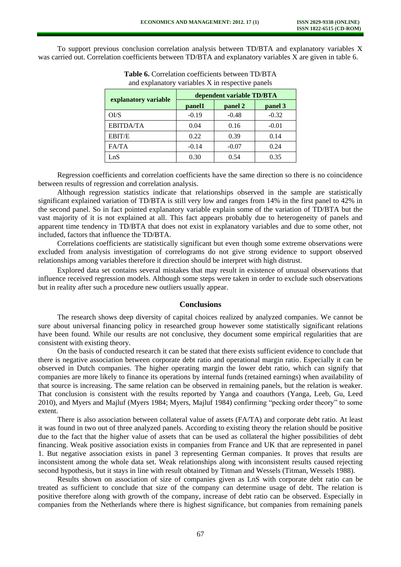To support previous conclusion correlation analysis between TD/BTA and explanatory variables X was carried out. Correlation coefficients between TD/BTA and explanatory variables X are given in table 6.

|                      | dependent variable TD/BTA |         |         |  |  |
|----------------------|---------------------------|---------|---------|--|--|
| explanatory variable | panel1                    | panel 2 | panel 3 |  |  |
| O <sub>1</sub> /S    | $-0.19$                   | $-0.48$ | $-0.32$ |  |  |
| <b>EBITDA/TA</b>     | 0.04                      | 0.16    | $-0.01$ |  |  |
| <b>EBIT/E</b>        | 0.22                      | 0.39    | 0.14    |  |  |
| FA/TA                | $-0.14$                   | $-0.07$ | 0.24    |  |  |
| LnS                  | 0.30                      | 0.54    | 0.35    |  |  |

**Table 6.** Correlation coefficients between TD/BTA and explanatory variables X in respective panels

Regression coefficients and correlation coefficients have the same direction so there is no coincidence between results of regression and correlation analysis.

Although regression statistics indicate that relationships observed in the sample are statistically significant explained variation of TD/BTA is still very low and ranges from 14% in the first panel to 42% in the second panel. So in fact pointed explanatory variable explain some of the variation of TD/BTA but the vast majority of it is not explained at all. This fact appears probably due to heterogeneity of panels and apparent time tendency in TD/BTA that does not exist in explanatory variables and due to some other, not included, factors that influence the TD/BTA.

Correlations coefficients are statistically significant but even though some extreme observations were excluded from analysis investigation of correlograms do not give strong evidence to support observed relationships among variables therefore it direction should be interpret with high distrust.

Explored data set contains several mistakes that may result in existence of unusual observations that influence received regression models. Although some steps were taken in order to exclude such observations but in reality after such a procedure new outliers usually appear.

## **Conclusions**

The research shows deep diversity of capital choices realized by analyzed companies. We cannot be sure about universal financing policy in researched group however some statistically significant relations have been found. While our results are not conclusive, they document some empirical regularities that are consistent with existing theory.

On the basis of conducted research it can be stated that there exists sufficient evidence to conclude that there is negative association between corporate debt ratio and operational margin ratio. Especially it can be observed in Dutch companies. The higher operating margin the lower debt ratio, which can signify that companies are more likely to finance its operations by internal funds (retained earnings) when availability of that source is increasing. The same relation can be observed in remaining panels, but the relation is weaker. That conclusion is consistent with the results reported by Yanga and coauthors (Yanga, Leeb, Gu, Leed 2010), and Myers and Majluf (Myers 1984; Myers, Majluf 1984) confirming "pecking order theory" to some extent.

There is also association between collateral value of assets (FA/TA) and corporate debt ratio. At least it was found in two out of three analyzed panels. According to existing theory the relation should be positive due to the fact that the higher value of assets that can be used as collateral the higher possibilities of debt financing. Weak positive association exists in companies from France and UK that are represented in panel 1. But negative association exists in panel 3 representing German companies. It proves that results are inconsistent among the whole data set. Weak relationships along with inconsistent results caused rejecting second hypothesis, but it stays in line with result obtained by Titman and Wessels (Titman, Wessels 1988).

Results shown on association of size of companies given as LnS with corporate debt ratio can be treated as sufficient to conclude that size of the company can determine usage of debt. The relation is positive therefore along with growth of the company, increase of debt ratio can be observed. Especially in companies from the Netherlands where there is highest significance, but companies from remaining panels